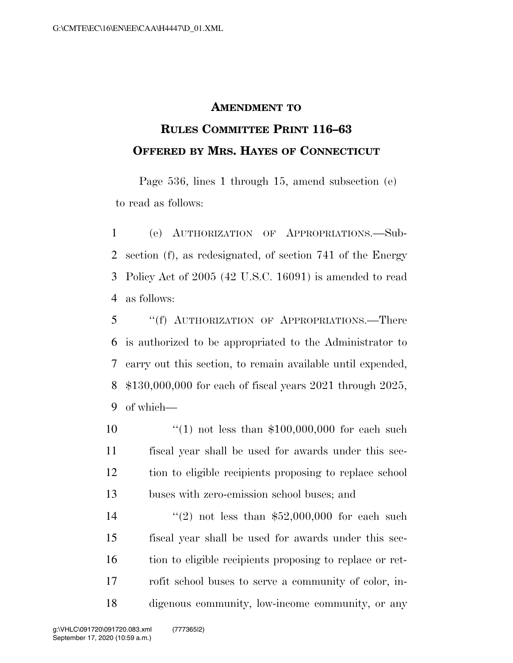## **AMENDMENT TO**

## **RULES COMMITTEE PRINT 116–63 OFFERED BY MRS. HAYES OF CONNECTICUT**

Page 536, lines 1 through 15, amend subsection (e) to read as follows:

 (e) AUTHORIZATION OF APPROPRIATIONS.—Sub- section (f), as redesignated, of section 741 of the Energy Policy Act of 2005 (42 U.S.C. 16091) is amended to read as follows:

 ''(f) AUTHORIZATION OF APPROPRIATIONS.—There is authorized to be appropriated to the Administrator to carry out this section, to remain available until expended, \$130,000,000 for each of fiscal years 2021 through 2025, of which—

 $\frac{10}{10}$  not less than \$100,000,000 for each such fiscal year shall be used for awards under this sec- tion to eligible recipients proposing to replace school buses with zero-emission school buses; and

 $(2)$  not less than \$52,000,000 for each such fiscal year shall be used for awards under this sec- tion to eligible recipients proposing to replace or ret- rofit school buses to serve a community of color, in-digenous community, low-income community, or any